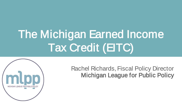# The Michigan Earned Income **Michigan** Tax Credit (EITC)



Rachel Richards, Fiscal Policy Director Michigan League for Public Policy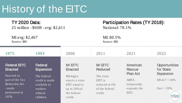## History of the EITC

TY 2020 Data: 25 million - \$60B - avg: \$2,411

MI avg: \$2,467 Source: IRS

#### Participation Rates (TY 2018): National: 78.1%

MI: 80.5% Source: IRS

| 1975                                  | 1993                               | 2006                             | 2011                             | 2021                           | 2022                                |
|---------------------------------------|------------------------------------|----------------------------------|----------------------------------|--------------------------------|-------------------------------------|
| <b>Federal EITC</b><br><b>Enacted</b> | <b>Federal</b><br><b>Expansion</b> | <b>MI EITC</b><br><b>Enacted</b> | <b>MI EITC</b><br><b>Reduced</b> | American<br><b>Rescue</b>      | <b>Opportunities</b><br>for State   |
| Enacted as<br>part of the Tax         | The federal<br>credit is made      | Michigan<br>enacts a state       | The state<br>EITC is             | <b>Plan Act</b><br><b>ARPA</b> | <b>Expansion</b><br>$SB 417 = 30\%$ |
| Reduction Act                         | available to                       | EITC equal to                    | reduced to 6%                    | temporarily                    |                                     |
| -made                                 | workers                            | up to 20% of                     | of the federal                   | expands the                    | Gov. $= 20\%$                       |
| permanent in<br>1978.                 | without<br>children.               | the federal<br>credit.           | credit.                          | EITC.                          |                                     |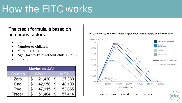## How the EITC works

#### The credit formula is based on numerous factors:

- **Earnings**
- Number of children
- Marital status
- Age (for workers without children only)
- **Inflation**

| <b>Maximum AGI</b> |        |        |     |        |  |  |  |  |
|--------------------|--------|--------|-----|--------|--|--|--|--|
| <b>Children</b>    | Single |        | MFJ |        |  |  |  |  |
| Zero               | \$     | 21,430 | \$  | 27,380 |  |  |  |  |
| One                | \$     | 42,158 | \$  | 48,108 |  |  |  |  |
| Two                | \$     | 47,915 | \$  | 53,865 |  |  |  |  |
| Three+             |        | 51,464 |     | 57,414 |  |  |  |  |

#### EITC Amount by Number of Qualifying Children, Marital Status, and Income, 2020



#### Source: Congres s ional Res earch Service

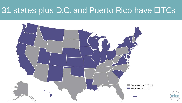### 31 states plus D.C. and Puerto Rico have EITCs



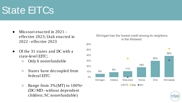## State EITCs

- Mis s ouri enacted in  $2021$  effective 2023; Utah enacted in 2022 - effective 2023
- Of the 31 states and DC with a state-level EITC:
	- Only 6 nonrefundable
	- States have decoupled from federal EITC
	- $\circ$  Range from 3% (MT) to 100%+ (DC/ MD - without dependent children; SC nonrefundable)



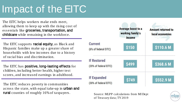## Impact of the EITC

The EITC helps workers make ends meet, allowing them to keep up with the rising cost of essentials like groceries, transportation, and childcare while remaining in the workforce.

The EITC supports **racial equity**, as Black and His panic families make up a greater share of hous eholds with low incomes due to a his tory of racial bias and dis crimination.

The EITC has positive, long-lasting effects for children, including better health, higher tes t scores, and increased earnings in adulthood.

The EITC reduces poverty in communities across the state, with equal take-up in **urban and** rural counties of roughly 16% of taxpayers. Source: MLPP calculations from MI Dept



of Treas ury data; TY 2019

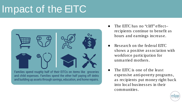## Impact of the EITC



Families spend roughly half of their EITCs on items like groceries and child expenses. Families spend the other half paying off debts and building up assets through savings, education, and home repairs.

- The EITC has no "cliff" effectrecipients continue to benefit as hours and earnings increase.
- Research on the federal EITC shows a positive association with workforce participation for unmarried mothers.
- The EITC is one of the least expensive anti-poverty programs, as recipients put money right back into local businesses in their communities.

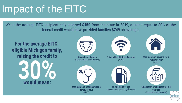## Impact of the EITC

While the average EITC recipient only received \$150 from the state in 2019, a credit equal to 30% of the federal credit would have provided families \$749 on average.

**For the average EITC**eligible Michigan family, raising the credit to would mean:



9 months of diapers (National Diaper Bank Network)



One month of healthcare for a family of four (ALICE)



10 months of internet access (ALICE)



18 full tanks of gas (Approx. based on a 12 gallon tank)



One month of housing for a family of four (ALICE)



One month of childcare for a 4 vear old (Economic Policy Institute)

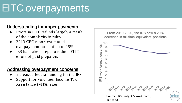## EITC overpayments

#### Understanding improper payments

- Errors in EITC refunds largely a result of the complexity in rules
- 2013 CBO report estimated overpayment rates of up to 25%
- IRS has taken steps to reduce EITC errors of paid preparers

#### Addressing overpayment concerns

- Increased federal funding for the IRS
- Support for Volunteer Income Tax As s is tance (VITA) s ites

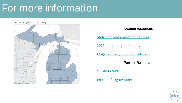### For more information

#### Impact of Michigan's State EITC by County



#### **League resources**

Statewide and county fact sheets

2023 state budget priorities

Blogs, articles, and press releases

#### **Partner Resources**

**CEDAM - MEIC** 

Free tax filing resources